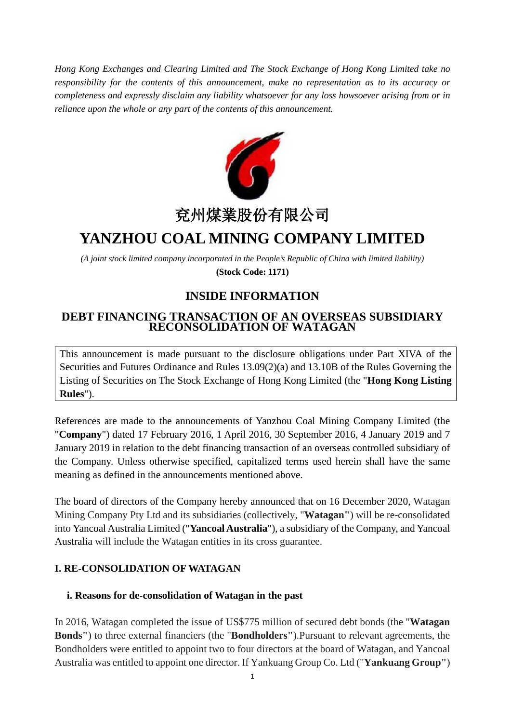*Hong Kong Exchanges and Clearing Limited and The Stock Exchange of Hong Kong Limited take no responsibility for the contents of this announcement, make no representation as to its accuracy or completeness and expressly disclaim any liability whatsoever for any loss howsoever arising from or in reliance upon the whole or any part of the contents of this announcement.*



# 兗州煤業股份有限公司

## **YANZHOU COAL MINING COMPANY LIMITED**

*(A joint stock limited company incorporated in the People's Republic of China with limited liability)* **(Stock Code: 1171)**

## **INSIDE INFORMATION**

## **DEBT FINANCING TRANSACTION OF AN OVERSEAS SUBSIDIARY RECONSOLIDATION OF WATAGAN**

This announcement is made pursuant to the disclosure obligations under Part XIVA of the Securities and Futures Ordinance and Rules 13.09(2)(a) and 13.10B of the Rules Governing the Listing of Securities on The Stock Exchange of Hong Kong Limited (the "**Hong Kong Listing Rules**").

References are made to the announcements of Yanzhou Coal Mining Company Limited (the "**Company**") dated 17 February 2016, 1 April 2016, 30 September 2016, 4 January 2019 and 7 January 2019 in relation to the debt financing transaction of an overseas controlled subsidiary of the Company. Unless otherwise specified, capitalized terms used herein shall have the same meaning as defined in the announcements mentioned above.

The board of directors of the Company hereby announced that on 16 December 2020, Watagan Mining Company Pty Ltd and its subsidiaries (collectively, "**Watagan"**) will be re-consolidated into Yancoal Australia Limited ("**Yancoal Australia**"), a subsidiary of the Company, and Yancoal Australia will include the Watagan entities in its cross guarantee.

### **I. RE-CONSOLIDATION OF WATAGAN**

#### **i. Reasons for de-consolidation of Watagan in the past**

In 2016, Watagan completed the issue of US\$775 million of secured debt bonds (the "**Watagan Bonds"**) to three external financiers (the "**Bondholders"**).Pursuant to relevant agreements, the Bondholders were entitled to appoint two to four directors at the board of Watagan, and Yancoal Australia was entitled to appoint one director. If Yankuang Group Co. Ltd ("**Yankuang Group"**)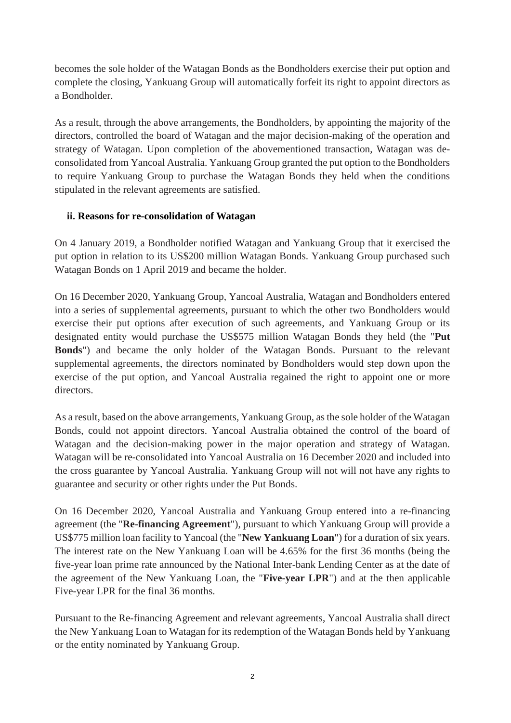becomes the sole holder of the Watagan Bonds as the Bondholders exercise their put option and complete the closing, Yankuang Group will automatically forfeit its right to appoint directors as a Bondholder.

As a result, through the above arrangements, the Bondholders, by appointing the majority of the directors, controlled the board of Watagan and the major decision-making of the operation and strategy of Watagan. Upon completion of the abovementioned transaction, Watagan was deconsolidated from Yancoal Australia. Yankuang Group granted the put option to the Bondholders to require Yankuang Group to purchase the Watagan Bonds they held when the conditions stipulated in the relevant agreements are satisfied.

#### **ii. Reasons for re-consolidation of Watagan**

On 4 January 2019, a Bondholder notified Watagan and Yankuang Group that it exercised the put option in relation to its US\$200 million Watagan Bonds. Yankuang Group purchased such Watagan Bonds on 1 April 2019 and became the holder.

On 16 December 2020, Yankuang Group, Yancoal Australia, Watagan and Bondholders entered into a series of supplemental agreements, pursuant to which the other two Bondholders would exercise their put options after execution of such agreements, and Yankuang Group or its designated entity would purchase the US\$575 million Watagan Bonds they held (the "**Put Bonds**") and became the only holder of the Watagan Bonds. Pursuant to the relevant supplemental agreements, the directors nominated by Bondholders would step down upon the exercise of the put option, and Yancoal Australia regained the right to appoint one or more directors.

As a result, based on the above arrangements, Yankuang Group, as the sole holder of the Watagan Bonds, could not appoint directors. Yancoal Australia obtained the control of the board of Watagan and the decision-making power in the major operation and strategy of Watagan. Watagan will be re-consolidated into Yancoal Australia on 16 December 2020 and included into the cross guarantee by Yancoal Australia. Yankuang Group will not will not have any rights to guarantee and security or other rights under the Put Bonds.

On 16 December 2020, Yancoal Australia and Yankuang Group entered into a re-financing agreement (the "**Re-financing Agreement**"), pursuant to which Yankuang Group will provide a US\$775 million loan facility to Yancoal (the "**New Yankuang Loan**") for a duration of six years. The interest rate on the New Yankuang Loan will be 4.65% for the first 36 months (being the five-year loan prime rate announced by the National Inter-bank Lending Center as at the date of the agreement of the New Yankuang Loan, the "**Five-year LPR**") and at the then applicable Five-year LPR for the final 36 months.

Pursuant to the Re-financing Agreement and relevant agreements, Yancoal Australia shall direct the New Yankuang Loan to Watagan for its redemption of the Watagan Bonds held by Yankuang or the entity nominated by Yankuang Group.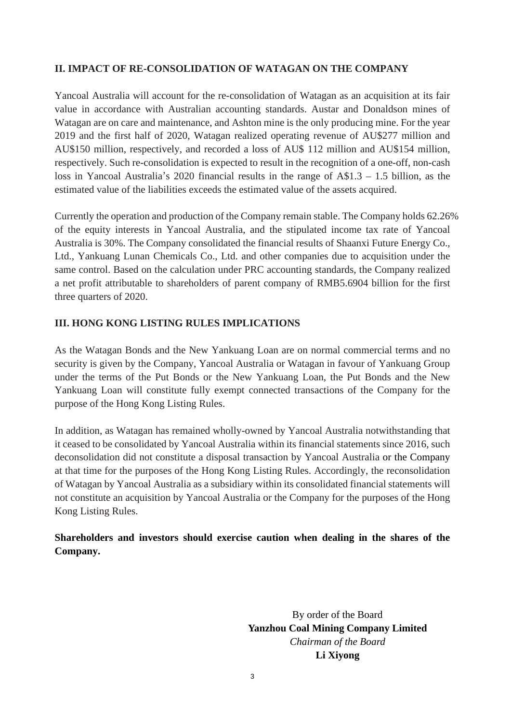#### **II. IMPACT OF RE-CONSOLIDATION OF WATAGAN ON THE COMPANY**

Yancoal Australia will account for the re-consolidation of Watagan as an acquisition at its fair value in accordance with Australian accounting standards. Austar and Donaldson mines of Watagan are on care and maintenance, and Ashton mine is the only producing mine. For the year 2019 and the first half of 2020, Watagan realized operating revenue of AU\$277 million and AU\$150 million, respectively, and recorded a loss of AU\$ 112 million and AU\$154 million, respectively. Such re-consolidation is expected to result in the recognition of a one-off, non-cash loss in Yancoal Australia's 2020 financial results in the range of A\$1.3 – 1.5 billion, as the estimated value of the liabilities exceeds the estimated value of the assets acquired.

Currently the operation and production of the Company remain stable. The Company holds 62.26% of the equity interests in Yancoal Australia, and the stipulated income tax rate of Yancoal Australia is 30%. The Company consolidated the financial results of Shaanxi Future Energy Co., Ltd., Yankuang Lunan Chemicals Co., Ltd. and other companies due to acquisition under the same control. Based on the calculation under PRC accounting standards, the Company realized a net profit attributable to shareholders of parent company of RMB5.6904 billion for the first three quarters of 2020.

#### **III. HONG KONG LISTING RULES IMPLICATIONS**

As the Watagan Bonds and the New Yankuang Loan are on normal commercial terms and no security is given by the Company, Yancoal Australia or Watagan in favour of Yankuang Group under the terms of the Put Bonds or the New Yankuang Loan, the Put Bonds and the New Yankuang Loan will constitute fully exempt connected transactions of the Company for the purpose of the Hong Kong Listing Rules.

In addition, as Watagan has remained wholly-owned by Yancoal Australia notwithstanding that it ceased to be consolidated by Yancoal Australia within its financial statements since 2016, such deconsolidation did not constitute a disposal transaction by Yancoal Australia or the Company at that time for the purposes of the Hong Kong Listing Rules. Accordingly, the reconsolidation of Watagan by Yancoal Australia as a subsidiary within its consolidated financial statements will not constitute an acquisition by Yancoal Australia or the Company for the purposes of the Hong Kong Listing Rules.

### **Shareholders and investors should exercise caution when dealing in the shares of the Company.**

By order of the Board **Yanzhou Coal Mining Company Limited** *Chairman of the Board* **Li Xiyong**